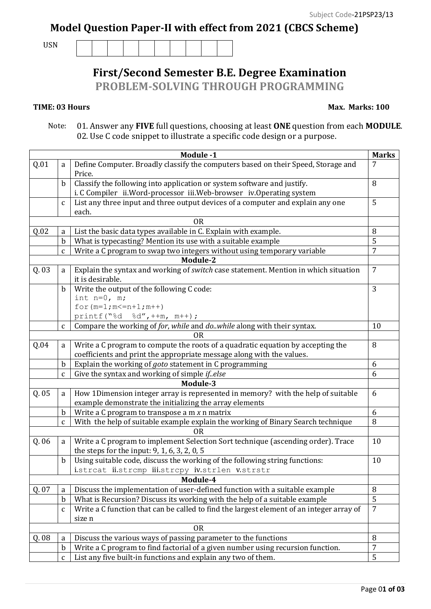## **Model Question Paper-II with effect from 2021 (CBCS Scheme)**

USN

|  |  | <b>First/Second Semester B.E. Degree Examination</b> |
|--|--|------------------------------------------------------|

**PROBLEM-SOLVING THROUGH PROGRAMMING**

## **TIME: 03 Hours**

## **Max. Marks: 100**

 Note: 01. Answer any **FIVE** full questions, choosing at least **ONE** question from each **MODULE**. 02. Use C code snippet to illustrate a specific code design or a purpose.

|           | Module -1                                                                              |                                                                                          |                |  |  |  |
|-----------|----------------------------------------------------------------------------------------|------------------------------------------------------------------------------------------|----------------|--|--|--|
| Q.01      | Define Computer. Broadly classify the computers based on their Speed, Storage and<br>a |                                                                                          | 7              |  |  |  |
|           |                                                                                        | Price.                                                                                   |                |  |  |  |
|           | $\mathbf b$                                                                            | Classify the following into application or system software and justify.                  |                |  |  |  |
|           |                                                                                        | i. C Compiler ii. Word-processor iii. Web-browser iv. Operating system                   |                |  |  |  |
|           | $\mathsf{C}$                                                                           | List any three input and three output devices of a computer and explain any one          | 5              |  |  |  |
|           | each.                                                                                  |                                                                                          |                |  |  |  |
| <b>OR</b> |                                                                                        |                                                                                          |                |  |  |  |
| Q.02      | a                                                                                      | List the basic data types available in C. Explain with example.                          | 8              |  |  |  |
|           | $\mathbf b$                                                                            | What is typecasting? Mention its use with a suitable example                             | 5              |  |  |  |
|           | $\mathbf{C}$                                                                           | Write a C program to swap two integers without using temporary variable                  | 7              |  |  |  |
|           |                                                                                        | Module-2                                                                                 |                |  |  |  |
| Q.03      | a                                                                                      | Explain the syntax and working of switch case statement. Mention in which situation      |                |  |  |  |
|           |                                                                                        | it is desirable.                                                                         |                |  |  |  |
|           | $\mathbf b$                                                                            | Write the output of the following C code:                                                |                |  |  |  |
|           |                                                                                        | int $n=0$ , m;                                                                           |                |  |  |  |
|           |                                                                                        | for $(m=1; m<=n+1; m++)$                                                                 |                |  |  |  |
|           |                                                                                        | printf ("%d<br>$\&d''$ , ++m, m++);                                                      |                |  |  |  |
|           | $\mathbf{C}$                                                                           | Compare the working of for, while and do. while along with their syntax.                 | 10             |  |  |  |
| OR        |                                                                                        |                                                                                          |                |  |  |  |
| Q.04      | a                                                                                      | Write a C program to compute the roots of a quadratic equation by accepting the          | 8              |  |  |  |
|           |                                                                                        | coefficients and print the appropriate message along with the values.                    |                |  |  |  |
|           | $\mathbf b$                                                                            | Explain the working of <i>goto</i> statement in C programming                            | 6              |  |  |  |
|           | $\mathbf{C}$                                                                           | Give the syntax and working of simple if.else                                            | 6              |  |  |  |
|           |                                                                                        | Module-3                                                                                 |                |  |  |  |
| Q.05      | a                                                                                      | How 1Dimension integer array is represented in memory? with the help of suitable         | 6              |  |  |  |
|           |                                                                                        | example demonstrate the initializing the array elements                                  |                |  |  |  |
|           | $\mathbf b$                                                                            | Write a $C$ program to transpose a $m \times n$ matrix                                   | 6              |  |  |  |
|           | $\mathbf{C}$                                                                           | With the help of suitable example explain the working of Binary Search technique         | 8              |  |  |  |
|           |                                                                                        | <b>OR</b>                                                                                |                |  |  |  |
| Q.06      | a                                                                                      | Write a C program to implement Selection Sort technique (ascending order). Trace         | 10             |  |  |  |
|           |                                                                                        | the steps for the input: 9, 1, 6, 3, 2, 0, 5                                             |                |  |  |  |
|           | $\mathbf b$                                                                            | Using suitable code, discuss the working of the following string functions:              | 10             |  |  |  |
|           |                                                                                        | istrcat ii.strcmp iii.strcpy iv.strlen v.strstr                                          |                |  |  |  |
| Module-4  |                                                                                        |                                                                                          |                |  |  |  |
| Q. 07     | a                                                                                      | Discuss the implementation of user-defined function with a suitable example              | 8              |  |  |  |
|           | $\mathbf b$                                                                            | What is Recursion? Discuss its working with the help of a suitable example               | 5              |  |  |  |
|           | $\mathbf{C}$                                                                           | Write a C function that can be called to find the largest element of an integer array of | $\overline{7}$ |  |  |  |
|           |                                                                                        | size n                                                                                   |                |  |  |  |
|           |                                                                                        | <b>OR</b>                                                                                | 8              |  |  |  |
| Q. 08     | a                                                                                      | Discuss the various ways of passing parameter to the functions                           |                |  |  |  |
|           | $\mathbf b$                                                                            | Write a C program to find factorial of a given number using recursion function.          | 7              |  |  |  |
|           | $\mathsf C$                                                                            | List any five built-in functions and explain any two of them.                            | 5              |  |  |  |